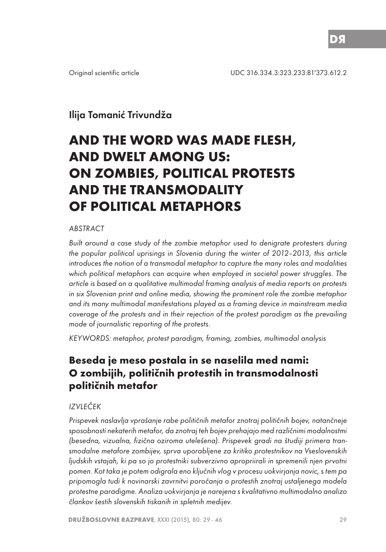# Ilija Tomanić Trivundža

# **AND THE WORD WAS MADE FLESH, AND DWELT AMONG US: ON ZOMBIES, POLITICAL PROTESTS AND THE TRANSMODALITY OF POLITICAL METAPHORS**

## ABSTRACT

Built around a case study of the zombie metaphor used to denigrate protesters during the popular political uprisings in Slovenia during the winter of 2012–2013, this article introduces the notion of a transmodal metaphor to capture the many roles and modalities which political metaphors can acquire when employed in societal power struggles. The article is based on a qualitative multimodal framing analysis of media reports on protests in six Slovenian print and online media, showing the prominent role the zombie metaphor and its many multimodal manifestations played as a framing device in mainstream media coverage of the protests and in their rejection of the protest paradigm as the prevailing mode of journalistic reporting of the protests.

KEYWORDS: metaphor, protest paradigm, framing, zombies, multimodal analysis

# **Beseda je meso postala in se naselila med nami: O zombijih, političnih protestih in transmodalnosti političnih metafor**

## IZVLEČEK

Prispevek naslavlja vprašanje rabe političnih metafor znotraj političnih bojev, natančneje sposobnosti nekaterih metafor, da znotraj teh bojev prehajajo med različnimi modalnostmi (besedna, vizualna, fizična oziroma utelešena). Prispevek gradi na študiji primera transmodalne metafore zombijev, sprva uporabljene za kritiko protestnikov na Vseslovenskih ljudskih vstajah, ki pa so jo protestniki subverzivno apropriirali in spremenili njen prvotni pomen. Kot taka je potem odigrala eno ključnih vlog v procesu uokvirjanja novic, s tem pa pripomogla tudi k novinarski zavrnitvi poročanja o protestih znotraj ustaljenega modela protestne paradigme. Analiza uokvirjanja je narejena s kvalitativno multimodalno analizo člankov šestih slovenskih tiskanih in spletnih medijev.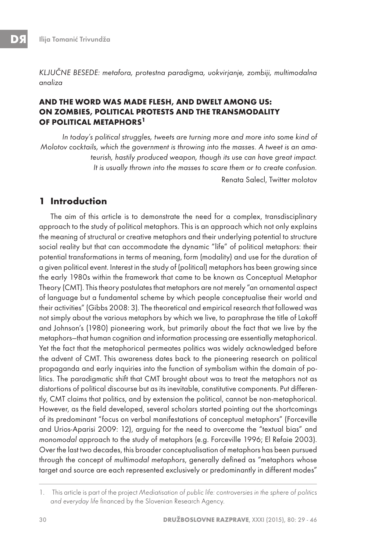KLJUČNE BESEDE: metafora, protestna paradigma, uokvirjanje, zombiji, multimodalna analiza

## **AND THE WORD WAS MADE FLESH, AND DWELT AMONG US: ON ZOMBIES, POLITICAL PROTESTS AND THE TRANSMODALITY OF POLITICAL METAPHORS1**

In today's political struggles, tweets are turning more and more into some kind of Molotov cocktails, which the government is throwing into the masses. A tweet is an amateurish, hastily produced weapon, though its use can have great impact. It is usually thrown into the masses to scare them or to create confusion. Renata Salecl, Twitter molotov

## **1 Introduction**

The aim of this article is to demonstrate the need for a complex, transdisciplinary approach to the study of political metaphors. This is an approach which not only explains the meaning of structural or creative metaphors and their underlying potential to structure social reality but that can accommodate the dynamic "life" of political metaphors: their potential transformations in terms of meaning, form (modality) and use for the duration of a given political event. Interest in the study of (political) metaphors has been growing since the early 1980s within the framework that came to be known as Conceptual Metaphor Theory (CMT). This theory postulates that metaphors are not merely "an ornamental aspect of language but a fundamental scheme by which people conceptualise their world and their activities" (Gibbs 2008: 3). The theoretical and empirical research that followed was not simply about the various metaphors by which we live, to paraphrase the title of Lakoff and Johnson's (1980) pioneering work, but primarily about the fact that we live by the metaphors—that human cognition and information processing are essentially metaphorical. Yet the fact that the metaphorical permeates politics was widely acknowledged before the advent of CMT. This awareness dates back to the pioneering research on political propaganda and early inquiries into the function of symbolism within the domain of politics. The paradigmatic shift that CMT brought about was to treat the metaphors not as distortions of political discourse but as its inevitable, constitutive components. Put differently, CMT claims that politics, and by extension the political, cannot be non-metaphorical. However, as the field developed, several scholars started pointing out the shortcomings of its predominant "focus on verbal manifestations of conceptual metaphors" (Forceville and Urios-Aparisi 2009: 12), arguing for the need to overcome the "textual bias" and monomodal approach to the study of metaphors (e.g. Forceville 1996; El Refaie 2003). Over the last two decades, this broader conceptualisation of metaphors has been pursued through the concept of multimodal metaphors, generally defined as "metaphors whose target and source are each represented exclusively or predominantly in different modes"

<sup>1.</sup> This article is part of the project Mediatisation of public life: controversies in the sphere of politics and everyday life financed by the Slovenian Research Agency.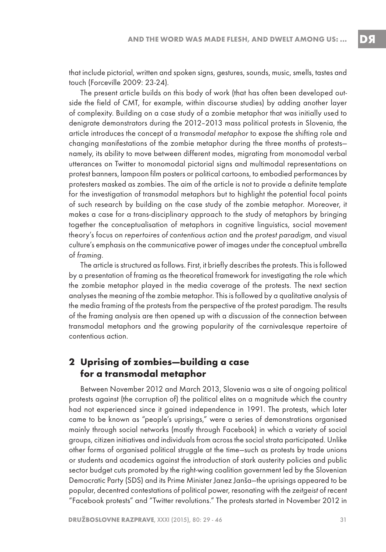that include pictorial, written and spoken signs, gestures, sounds, music, smells, tastes and touch (Forceville 2009: 23-24).

The present article builds on this body of work (that has often been developed outside the field of CMT, for example, within discourse studies) by adding another layer of complexity. Building on a case study of a zombie metaphor that was initially used to denigrate demonstrators during the 2012–2013 mass political protests in Slovenia, the article introduces the concept of a transmodal metaphor to expose the shifting role and changing manifestations of the zombie metaphor during the three months of protests namely, its ability to move between different modes, migrating from monomodal verbal utterances on Twitter to monomodal pictorial signs and multimodal representations on protest banners, lampoon film posters or political cartoons, to embodied performances by protesters masked as zombies. The aim of the article is not to provide a definite template for the investigation of transmodal metaphors but to highlight the potential focal points of such research by building on the case study of the zombie metaphor. Moreover, it makes a case for a trans-disciplinary approach to the study of metaphors by bringing together the conceptualisation of metaphors in cognitive linguistics, social movement theory's focus on repertoires of contentious action and the protest paradigm, and visual culture's emphasis on the communicative power of images under the conceptual umbrella of framing.

The article is structured as follows. First, it briefly describes the protests. This is followed by a presentation of framing as the theoretical framework for investigating the role which the zombie metaphor played in the media coverage of the protests. The next section analyses the meaning of the zombie metaphor. This is followed by a qualitative analysis of the media framing of the protests from the perspective of the protest paradigm. The results of the framing analysis are then opened up with a discussion of the connection between transmodal metaphors and the growing popularity of the carnivalesque repertoire of contentious action.

# **2 Uprising of zombies—building a case for a transmodal metaphor**

Between November 2012 and March 2013, Slovenia was a site of ongoing political protests against (the corruption of) the political elites on a magnitude which the country had not experienced since it gained independence in 1991. The protests, which later came to be known as "people's uprisings," were a series of demonstrations organised mainly through social networks (mostly through Facebook) in which a variety of social groups, citizen initiatives and individuals from across the social strata participated. Unlike other forms of organised political struggle at the time—such as protests by trade unions or students and academics against the introduction of stark austerity policies and public sector budget cuts promoted by the right-wing coalition government led by the Slovenian Democratic Party (SDS) and its Prime Minister Janez Janša—the uprisings appeared to be popular, decentred contestations of political power, resonating with the zeitgeist of recent "Facebook protests" and "Twitter revolutions." The protests started in November 2012 in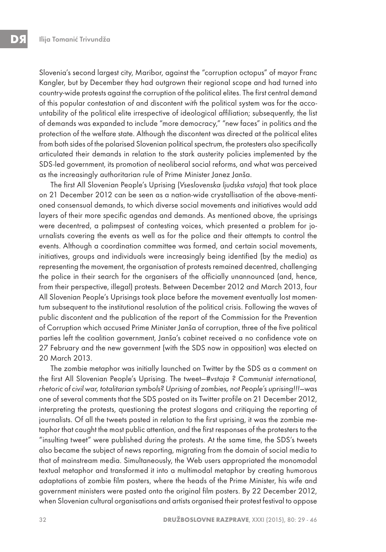Slovenia's second largest city, Maribor, against the "corruption octopus" of mayor Franc Kangler, but by December they had outgrown their regional scope and had turned into country-wide protests against the corruption of the political elites. The first central demand of this popular contestation of and discontent with the political system was for the accountability of the political elite irrespective of ideological affiliation; subsequently, the list of demands was expanded to include "more democracy," "new faces" in politics and the protection of the welfare state. Although the discontent was directed at the political elites from both sides of the polarised Slovenian political spectrum, the protesters also specifically articulated their demands in relation to the stark austerity policies implemented by the SDS-led government, its promotion of neoliberal social reforms, and what was perceived as the increasingly authoritarian rule of Prime Minister Janez Janša.

The first All Slovenian People's Uprising (Vseslovenska ljudska vstaja) that took place on 21 December 2012 can be seen as a nation-wide crystallisation of the above-mentioned consensual demands, to which diverse social movements and initiatives would add layers of their more specific agendas and demands. As mentioned above, the uprisings were decentred, a palimpsest of contesting voices, which presented a problem for journalists covering the events as well as for the police and their attempts to control the events. Although a coordination committee was formed, and certain social movements, initiatives, groups and individuals were increasingly being identified (by the media) as representing the movement, the organisation of protests remained decentred, challenging the police in their search for the organisers of the officially unannounced (and, hence, from their perspective, illegal) protests. Between December 2012 and March 2013, four All Slovenian People's Uprisings took place before the movement eventually lost momentum subsequent to the institutional resolution of the political crisis. Following the waves of public discontent and the publication of the report of the Commission for the Prevention of Corruption which accused Prime Minister Janša of corruption, three of the five political parties left the coalition government, Janša's cabinet received a no confidence vote on 27 February and the new government (with the SDS now in opposition) was elected on 20 March 2013.

The zombie metaphor was initially launched on Twitter by the SDS as a comment on the first All Slovenian People's Uprising. The tweet—#vstaja ? Communist international, rhetoric of civil war, totalitarian symbols? Uprising of zombies, not People's uprising!!!—was one of several comments that the SDS posted on its Twitter profile on 21 December 2012, interpreting the protests, questioning the protest slogans and critiquing the reporting of journalists. Of all the tweets posted in relation to the first uprising, it was the zombie metaphor that caught the most public attention, and the first responses of the protesters to the "insulting tweet" were published during the protests. At the same time, the SDS's tweets also became the subject of news reporting, migrating from the domain of social media to that of mainstream media. Simultaneously, the Web users appropriated the monomodal textual metaphor and transformed it into a multimodal metaphor by creating humorous adaptations of zombie film posters, where the heads of the Prime Minister, his wife and government ministers were pasted onto the original film posters. By 22 December 2012, when Slovenian cultural organisations and artists organised their protest festival to oppose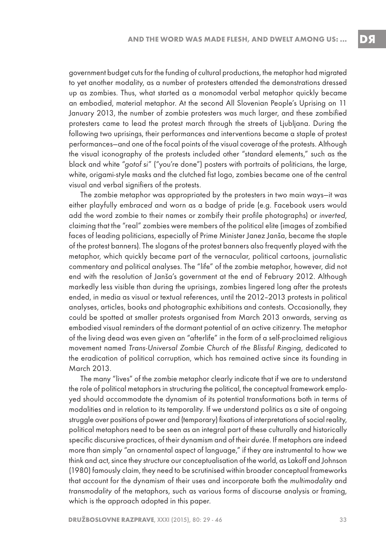government budget cuts for the funding of cultural productions, the metaphor had migrated to yet another modality, as a number of protesters attended the demonstrations dressed up as zombies. Thus, what started as a monomodal verbal metaphor quickly became an embodied, material metaphor. At the second All Slovenian People's Uprising on 11 January 2013, the number of zombie protesters was much larger, and these zombified protesters came to lead the protest march through the streets of Ljubljana. During the following two uprisings, their performances and interventions became a staple of protest performances—and one of the focal points of the visual coverage of the protests. Although the visual iconography of the protests included other "standard elements," such as the black and white "gotof si" ("you're done") posters with portraits of politicians, the large, white, origami-style masks and the clutched fist logo, zombies became one of the central visual and verbal signifiers of the protests.

The zombie metaphor was appropriated by the protesters in two main ways—it was either playfully embraced and worn as a badge of pride (e.g. Facebook users would add the word zombie to their names or zombify their profile photographs) or inverted, claiming that the "real" zombies were members of the political elite (images of zombified faces of leading politicians, especially of Prime Minister Janez Janša, became the staple of the protest banners). The slogans of the protest banners also frequently played with the metaphor, which quickly became part of the vernacular, political cartoons, journalistic commentary and political analyses. The "life" of the zombie metaphor, however, did not end with the resolution of Janša's government at the end of February 2012. Although markedly less visible than during the uprisings, zombies lingered long after the protests ended, in media as visual or textual references, until the 2012–2013 protests in political analyses, articles, books and photographic exhibitions and contests. Occasionally, they could be spotted at smaller protests organised from March 2013 onwards, serving as embodied visual reminders of the dormant potential of an active citizenry. The metaphor of the living dead was even given an "afterlife" in the form of a self-proclaimed religious movement named Trans-Universal Zombie Church of the Blissful Ringing, dedicated to the eradication of political corruption, which has remained active since its founding in March 2013.

The many "lives" of the zombie metaphor clearly indicate that if we are to understand the role of political metaphors in structuring the political, the conceptual framework employed should accommodate the dynamism of its potential transformations both in terms of modalities and in relation to its temporality. If we understand politics as a site of ongoing struggle over positions of power and (temporary) fixations of interpretations of social reality, political metaphors need to be seen as an integral part of these culturally and historically specific discursive practices, of their dynamism and of their durée. If metaphors are indeed more than simply "an ornamental aspect of language," if they are instrumental to how we think and act, since they structure our conceptualisation of the world, as Lakoff and Johnson (1980) famously claim, they need to be scrutinised within broader conceptual frameworks that account for the dynamism of their uses and incorporate both the multimodality and transmodality of the metaphors, such as various forms of discourse analysis or framing, which is the approach adopted in this paper.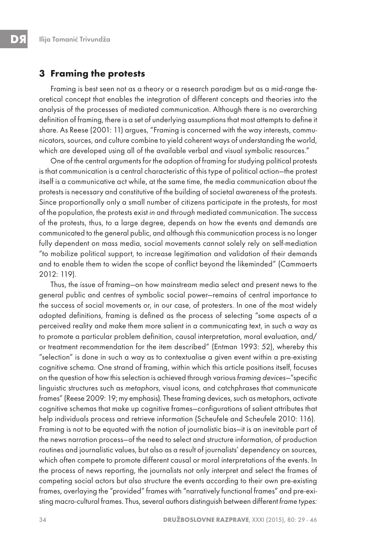### **3 Framing the protests**

Framing is best seen not as a theory or a research paradigm but as a mid-range theoretical concept that enables the integration of different concepts and theories into the analysis of the processes of mediated communication. Although there is no overarching definition of framing, there is a set of underlying assumptions that most attempts to define it share. As Reese (2001: 11) argues, "Framing is concerned with the way interests, communicators, sources, and culture combine to yield coherent ways of understanding the world, which are developed using all of the available verbal and visual symbolic resources."

One of the central arguments for the adoption of framing for studying political protests is that communication is a central characteristic of this type of political action—the protest itself is a communicative act while, at the same time, the media communication about the protests is necessary and constitutive of the building of societal awareness of the protests. Since proportionally only a small number of citizens participate in the protests, for most of the population, the protests exist in and through mediated communication. The success of the protests, thus, to a large degree, depends on how the events and demands are communicated to the general public, and although this communication process is no longer fully dependent on mass media, social movements cannot solely rely on self-mediation "to mobilize political support, to increase legitimation and validation of their demands and to enable them to widen the scope of conflict beyond the likeminded" (Cammaerts 2012: 119).

Thus, the issue of framing—on how mainstream media select and present news to the general public and centres of symbolic social power—remains of central importance to the success of social movements or, in our case, of protesters. In one of the most widely adopted definitions, framing is defined as the process of selecting "some aspects of a perceived reality and make them more salient in a communicating text, in such a way as to promote a particular problem definition, causal interpretation, moral evaluation, and/ or treatment recommendation for the item described" (Entman 1993: 52), whereby this "selection" is done in such a way as to contextualise a given event within a pre-existing cognitive schema. One strand of framing, within which this article positions itself, focuses on the question of how this selection is achieved through various framing devices—"specific linguistic structures such as metaphors, visual icons, and catchphrases that communicate frames" (Reese 2009: 19; my emphasis). These framing devices, such as metaphors, activate cognitive schemas that make up cognitive frames—configurations of salient attributes that help individuals process and retrieve information (Scheufele and Scheufele 2010: 116). Framing is not to be equated with the notion of journalistic bias—it is an inevitable part of the news narration process—of the need to select and structure information, of production routines and journalistic values, but also as a result of journalists' dependency on sources, which often compete to promote different causal or moral interpretations of the events. In the process of news reporting, the journalists not only interpret and select the frames of competing social actors but also structure the events according to their own pre-existing frames, overlaying the "provided" frames with "narratively functional frames" and pre-existing macro-cultural frames. Thus, several authors distinguish between different frame types: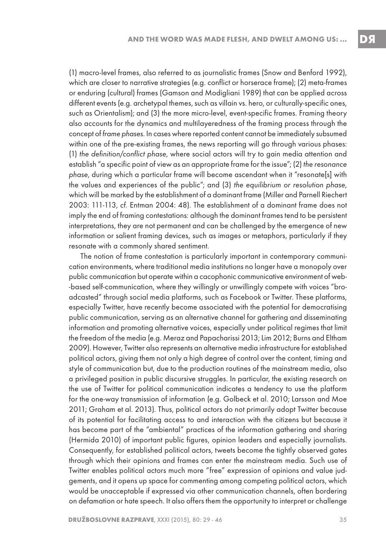(1) macro-level frames, also referred to as journalistic frames (Snow and Benford 1992), which are closer to narrative strategies (e.g. conflict or horserace frame); (2) meta-frames or enduring (cultural) frames (Gamson and Modigliani 1989) that can be applied across different events (e.g. archetypal themes, such as villain vs. hero, or culturally-specific ones, such as Orientalism); and (3) the more micro-level, event-specific frames. Framing theory also accounts for the dynamics and multilayeredness of the framing process through the concept of frame phases. In cases where reported content cannot be immediately subsumed within one of the pre-existing frames, the news reporting will go through various phases: (1) the definition/conflict phase, where social actors will try to gain media attention and establish "a specific point of view as an appropriate frame for the issue"; (2) the resonance phase, during which a particular frame will become ascendant when it "resonate[s] with the values and experiences of the public"; and (3) the equilibrium or resolution phase, which will be marked by the establishment of a dominant frame (Miller and Parnell Riechert 2003: 111-113, cf. Entman 2004: 48). The establishment of a dominant frame does not imply the end of framing contestations: although the dominant frames tend to be persistent interpretations, they are not permanent and can be challenged by the emergence of new information or salient framing devices, such as images or metaphors, particularly if they resonate with a commonly shared sentiment.

The notion of frame contestation is particularly important in contemporary communication environments, where traditional media institutions no longer have a monopoly over public communication but operate within a cacophonic communicative environment of web- -based self-communication, where they willingly or unwillingly compete with voices "broadcasted" through social media platforms, such as Facebook or Twitter. These platforms, especially Twitter, have recently become associated with the potential for democratising public communication, serving as an alternative channel for gathering and disseminating information and promoting alternative voices, especially under political regimes that limit the freedom of the media (e.g. Meraz and Papacharissi 2013; Lim 2012; Burns and Eltham 2009). However, Twitter also represents an alternative media infrastructure for established political actors, giving them not only a high degree of control over the content, timing and style of communication but, due to the production routines of the mainstream media, also a privileged position in public discursive struggles. In particular, the existing research on the use of Twitter for political communication indicates a tendency to use the platform for the one-way transmission of information (e.g. Golbeck et al. 2010; Larsson and Moe 2011; Graham et al. 2013). Thus, political actors do not primarily adopt Twitter because of its potential for facilitating access to and interaction with the citizens but because it has become part of the "ambiental" practices of the information gathering and sharing (Hermida 2010) of important public figures, opinion leaders and especially journalists. Consequently, for established political actors, tweets become the tightly observed gates through which their opinions and frames can enter the mainstream media. Such use of Twitter enables political actors much more "free" expression of opinions and value judgements, and it opens up space for commenting among competing political actors, which would be unacceptable if expressed via other communication channels, often bordering on defamation or hate speech. It also offers them the opportunity to interpret or challenge

DЯ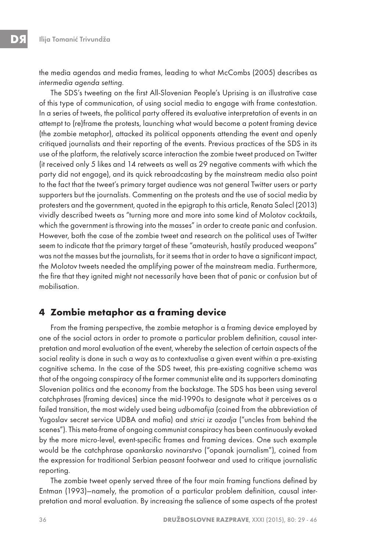the media agendas and media frames, leading to what McCombs (2005) describes as intermedia agenda setting.

The SDS's tweeting on the first All-Slovenian People's Uprising is an illustrative case of this type of communication, of using social media to engage with frame contestation. In a series of tweets, the political party offered its evaluative interpretation of events in an attempt to (re)frame the protests, launching what would become a potent framing device (the zombie metaphor), attacked its political opponents attending the event and openly critiqued journalists and their reporting of the events. Previous practices of the SDS in its use of the platform, the relatively scarce interaction the zombie tweet produced on Twitter (it received only 5 likes and 14 retweets as well as 29 negative comments with which the party did not engage), and its quick rebroadcasting by the mainstream media also point to the fact that the tweet's primary target audience was not general Twitter users or party supporters but the journalists. Commenting on the protests and the use of social media by protesters and the government, quoted in the epigraph to this article, Renata Salecl (2013) vividly described tweets as "turning more and more into some kind of Molotov cocktails, which the government is throwing into the masses" in order to create panic and confusion. However, both the case of the zombie tweet and research on the political uses of Twitter seem to indicate that the primary target of these "amateurish, hastily produced weapons" was not the masses but the journalists, for it seems that in order to have a significant impact, the Molotov tweets needed the amplifying power of the mainstream media. Furthermore, the fire that they ignited might not necessarily have been that of panic or confusion but of mobilisation.

# **4 Zombie metaphor as a framing device**

From the framing perspective, the zombie metaphor is a framing device employed by one of the social actors in order to promote a particular problem definition, causal interpretation and moral evaluation of the event, whereby the selection of certain aspects of the social reality is done in such a way as to contextualise a given event within a pre-existing cognitive schema. In the case of the SDS tweet, this pre-existing cognitive schema was that of the ongoing conspiracy of the former communist elite and its supporters dominating Slovenian politics and the economy from the backstage. The SDS has been using several catchphrases (framing devices) since the mid-1990s to designate what it perceives as a failed transition, the most widely used being udbomafija (coined from the abbreviation of Yugoslav secret service UDBA and mafia) and strici iz ozadja ("uncles from behind the scenes"). This meta-frame of ongoing communist conspiracy has been continuously evoked by the more micro-level, event-specific frames and framing devices. One such example would be the catchphrase opankarsko novinarstvo ("opanak journalism"), coined from the expression for traditional Serbian peasant footwear and used to critique journalistic reporting.

The zombie tweet openly served three of the four main framing functions defined by Entman (1993)—namely, the promotion of a particular problem definition, causal interpretation and moral evaluation. By increasing the salience of some aspects of the protest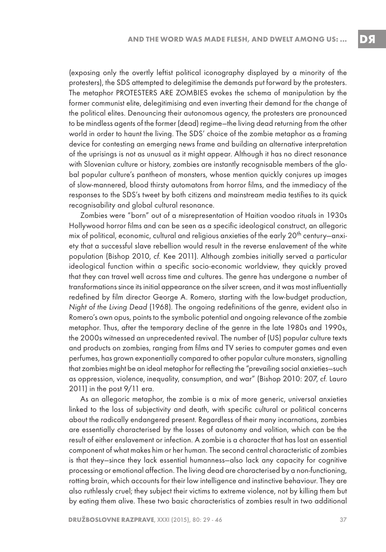(exposing only the overtly leftist political iconography displayed by a minority of the protesters), the SDS attempted to delegitimise the demands put forward by the protesters. The metaphor PROTESTERS ARE ZOMBIES evokes the schema of manipulation by the former communist elite, delegitimising and even inverting their demand for the change of the political elites. Denouncing their autonomous agency, the protesters are pronounced to be mindless agents of the former (dead) regime—the living dead returning from the other world in order to haunt the living. The SDS' choice of the zombie metaphor as a framing device for contesting an emerging news frame and building an alternative interpretation of the uprisings is not as unusual as it might appear. Although it has no direct resonance with Slovenian culture or history, zombies are instantly recognisable members of the global popular culture's pantheon of monsters, whose mention quickly conjures up images of slow-mannered, blood thirsty automatons from horror films, and the immediacy of the responses to the SDS's tweet by both citizens and mainstream media testifies to its quick recognisability and global cultural resonance.

Zombies were "born" out of a misrepresentation of Haitian voodoo rituals in 1930s Hollywood horror films and can be seen as a specific ideological construct, an allegoric mix of political, economic, cultural and religious anxieties of the early  $20<sup>th</sup>$  century–anxiety that a successful slave rebellion would result in the reverse enslavement of the white population (Bishop 2010, cf. Kee 2011). Although zombies initially served a particular ideological function within a specific socio-economic worldview, they quickly proved that they can travel well across time and cultures. The genre has undergone a number of transformations since its initial appearance on the silver screen, and it was most influentially redefined by film director George A. Romero, starting with the low-budget production, Night of the Living Dead (1968). The ongoing redefinitions of the genre, evident also in Romero's own opus, points to the symbolic potential and ongoing relevance of the zombie metaphor. Thus, after the temporary decline of the genre in the late 1980s and 1990s, the 2000s witnessed an unprecedented revival. The number of (US) popular culture texts and products on zombies, ranging from films and TV series to computer games and even perfumes, has grown exponentially compared to other popular culture monsters, signalling that zombies might be an ideal metaphor for reflecting the "prevailing social anxieties—such as oppression, violence, inequality, consumption, and war" (Bishop 2010: 207, cf. Lauro 2011) in the post 9/11 era.

As an allegoric metaphor, the zombie is a mix of more generic, universal anxieties linked to the loss of subjectivity and death, with specific cultural or political concerns about the radically endangered present. Regardless of their many incarnations, zombies are essentially characterised by the losses of autonomy and volition, which can be the result of either enslavement or infection. A zombie is a character that has lost an essential component of what makes him or her human. The second central characteristic of zombies is that they—since they lack essential humanness—also lack any capacity for cognitive processing or emotional affection. The living dead are characterised by a non-functioning, rotting brain, which accounts for their low intelligence and instinctive behaviour. They are also ruthlessly cruel; they subject their victims to extreme violence, not by killing them but by eating them alive. These two basic characteristics of zombies result in two additional

DЯ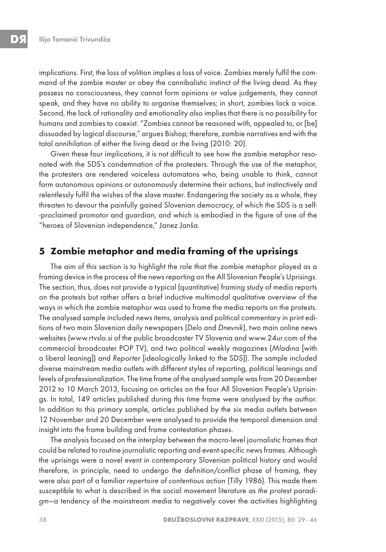implications. First, the loss of volition implies a loss of voice. Zombies merely fulfil the command of the zombie master or obey the cannibalistic instinct of the living dead. As they possess no consciousness, they cannot form opinions or value judgements, they cannot speak, and they have no ability to organise themselves; in short, zombies lack a voice. Second, the lack of rationality and emotionality also implies that there is no possibility for humans and zombies to coexist. "Zombies cannot be reasoned with, appealed to, or [be] dissuaded by logical discourse," argues Bishop; therefore, zombie narratives end with the total annihilation of either the living dead or the living (2010: 20).

Given these four implications, it is not difficult to see how the zombie metaphor resonated with the SDS's condemnation of the protesters. Through the use of the metaphor, the protesters are rendered voiceless automatons who, being unable to think, cannot form autonomous opinions or autonomously determine their actions, but instinctively and relentlessly fulfil the wishes of the slave master. Endangering the society as a whole, they threaten to devour the painfully gained Slovenian democracy, of which the SDS is a self- -proclaimed promotor and guardian, and which is embodied in the figure of one of the "heroes of Slovenian independence," Janez Janša.

## **5 Zombie metaphor and media framing of the uprisings**

The aim of this section is to highlight the role that the zombie metaphor played as a framing device in the process of the news reporting on the All Slovenian People's Uprisings. The section, thus, does not provide a typical (quantitative) framing study of media reports on the protests but rather offers a brief inductive multimodal qualitative overview of the ways in which the zombie metaphor was used to frame the media reports on the protests. The analysed sample included news items, analysis and political commentary in print editions of two main Slovenian daily newspapers (Delo and Dnevnik), two main online news websites (www.rtvslo.si of the public broadcaster TV Slovenia and www.24ur.com of the commercial broadcaster POP TV), and two political weekly magazines (Mladina [with a liberal leaning]) and Reporter [ideologically linked to the SDS]). The sample included diverse mainstream media outlets with different styles of reporting, political leanings and levels of professionalization. The time frame of the analysed sample was from 20 December 2012 to 10 March 2013, focusing on articles on the four All Slovenian People's Uprisings. In total, 149 articles published during this time frame were analysed by the author. In addition to this primary sample, articles published by the six media outlets between 12 November and 20 December were analysed to provide the temporal dimension and insight into the frame building and frame contestation phases.

The analysis focused on the interplay between the macro-level journalistic frames that could be related to routine journalistic reporting and event-specific news frames. Although the uprisings were a novel event in contemporary Slovenian political history and would therefore, in principle, need to undergo the definition/conflict phase of framing, they were also part of a familiar repertoire of contentious action (Tilly 1986). This made them susceptible to what is described in the social movement literature as the protest paradigm—a tendency of the mainstream media to negatively cover the activities highlighting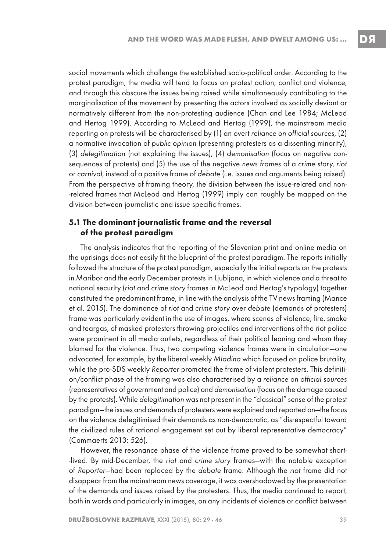social movements which challenge the established socio-political order. According to the protest paradigm, the media will tend to focus on protest action, conflict and violence, and through this obscure the issues being raised while simultaneously contributing to the marginalisation of the movement by presenting the actors involved as socially deviant or normatively different from the non-protesting audience (Chan and Lee 1984; McLeod and Hertog 1999). According to McLeod and Hertog (1999), the mainstream media reporting on protests will be characterised by (1) an overt reliance on official sources, (2) a normative invocation of public opinion (presenting protesters as a dissenting minority), (3) delegitimation (not explaining the issues), (4) demonisation (focus on negative consequences of protests) and (5) the use of the negative news frames of a crime story, riot or carnival, instead of a positive frame of debate (i.e. issues and arguments being raised). From the perspective of framing theory, the division between the issue-related and non- -related frames that McLeod and Hertog (1999) imply can roughly be mapped on the division between journalistic and issue-specific frames.

#### **5.1 The dominant journalistic frame and the reversal of the protest paradigm**

The analysis indicates that the reporting of the Slovenian print and online media on the uprisings does not easily fit the blueprint of the protest paradigm. The reports initially followed the structure of the protest paradigm, especially the initial reports on the protests in Maribor and the early December protests in Ljubljana, in which violence and a threat to national security (riot and crime story frames in McLeod and Hertog's typology) together constituted the predominant frame, in line with the analysis of the TV news framing (Mance et al. 2015). The dominance of riot and crime story over debate (demands of protesters) frame was particularly evident in the use of images, where scenes of violence, fire, smoke and teargas, of masked protesters throwing projectiles and interventions of the riot police were prominent in all media outlets, regardless of their political leaning and whom they blamed for the violence. Thus, two competing violence frames were in circulation—one advocated, for example, by the liberal weekly Mladina which focused on police brutality, while the pro-SDS weekly Reporter promoted the frame of violent protesters. This definition/conflict phase of the framing was also characterised by a reliance on official sources (representatives of government and police) and demonisation (focus on the damage caused by the protests). While delegitimation was not present in the "classical" sense of the protest paradigm—the issues and demands of protesters were explained and reported on—the focus on the violence delegitimised their demands as non-democratic, as "disrespectful toward the civilized rules of rational engagement set out by liberal representative democracy" (Cammaerts 2013: 526).

However, the resonance phase of the violence frame proved to be somewhat short- -lived. By mid-December, the riot and crime story frames—with the notable exception of Reporter—had been replaced by the debate frame. Although the riot frame did not disappear from the mainstream news coverage, it was overshadowed by the presentation of the demands and issues raised by the protesters. Thus, the media continued to report, both in words and particularly in images, on any incidents of violence or conflict between

DS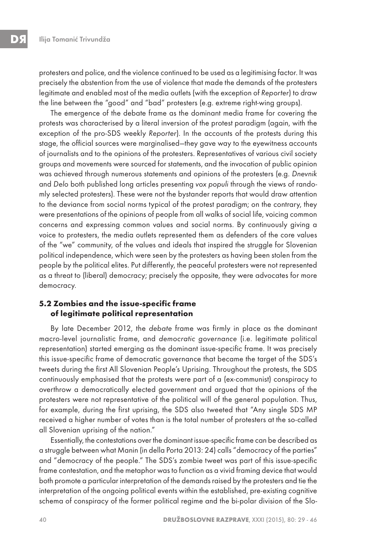protesters and police, and the violence continued to be used as a legitimising factor. It was precisely the abstention from the use of violence that made the demands of the protesters legitimate and enabled most of the media outlets (with the exception of Reporter) to draw the line between the "good" and "bad" protesters (e.g. extreme right-wing groups).

The emergence of the debate frame as the dominant media frame for covering the protests was characterised by a literal inversion of the protest paradigm (again, with the exception of the pro-SDS weekly Reporter). In the accounts of the protests during this stage, the official sources were marginalised—they gave way to the eyewitness accounts of journalists and to the opinions of the protesters. Representatives of various civil society groups and movements were sourced for statements, and the invocation of public opinion was achieved through numerous statements and opinions of the protesters (e.g. Dnevnik and Delo both published long articles presenting vox populi through the views of randomly selected protesters). These were not the bystander reports that would draw attention to the deviance from social norms typical of the protest paradigm; on the contrary, they were presentations of the opinions of people from all walks of social life, voicing common concerns and expressing common values and social norms. By continuously giving a voice to protesters, the media outlets represented them as defenders of the core values of the "we" community, of the values and ideals that inspired the struggle for Slovenian political independence, which were seen by the protesters as having been stolen from the people by the political elites. Put differently, the peaceful protesters were not represented as a threat to (liberal) democracy; precisely the opposite, they were advocates for more democracy.

#### **5.2 Zombies and the issue-specific frame of legitimate political representation**

By late December 2012, the debate frame was firmly in place as the dominant macro-level journalistic frame, and democratic governance (i.e. legitimate political representation) started emerging as the dominant issue-specific frame. It was precisely this issue-specific frame of democratic governance that became the target of the SDS's tweets during the first All Slovenian People's Uprising. Throughout the protests, the SDS continuously emphasised that the protests were part of a (ex-communist) conspiracy to overthrow a democratically elected government and argued that the opinions of the protesters were not representative of the political will of the general population. Thus, for example, during the first uprising, the SDS also tweeted that "Any single SDS MP received a higher number of votes than is the total number of protesters at the so-called all Slovenian uprising of the nation."

Essentially, the contestations over the dominant issue-specific frame can be described as a struggle between what Manin (in della Porta 2013: 24) calls "democracy of the parties" and "democracy of the people." The SDS's zombie tweet was part of this issue-specific frame contestation, and the metaphor was to function as a vivid framing device that would both promote a particular interpretation of the demands raised by the protesters and tie the interpretation of the ongoing political events within the established, pre-existing cognitive schema of conspiracy of the former political regime and the bi-polar division of the Slo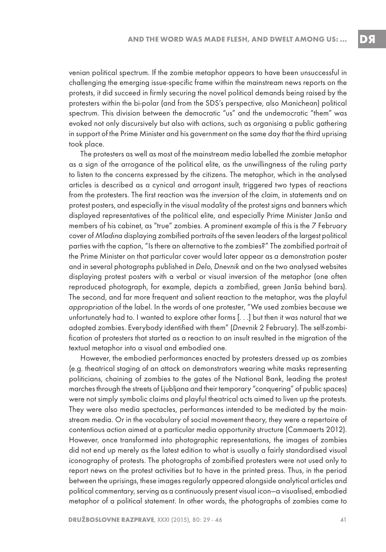venian political spectrum. If the zombie metaphor appears to have been unsuccessful in challenging the emerging issue-specific frame within the mainstream news reports on the protests, it did succeed in firmly securing the novel political demands being raised by the protesters within the bi-polar (and from the SDS's perspective, also Manichean) political spectrum. This division between the democratic "us" and the undemocratic "them" was evoked not only discursively but also with actions, such as organising a public gathering in support of the Prime Minister and his government on the same day that the third uprising took place.

The protesters as well as most of the mainstream media labelled the zombie metaphor as a sign of the arrogance of the political elite, as the unwillingness of the ruling party to listen to the concerns expressed by the citizens. The metaphor, which in the analysed articles is described as a cynical and arrogant insult, triggered two types of reactions from the protesters. The first reaction was the inversion of the claim, in statements and on protest posters, and especially in the visual modality of the protest signs and banners which displayed representatives of the political elite, and especially Prime Minister Janša and members of his cabinet, as "true" zombies. A prominent example of this is the 7 February cover of Mladina displaying zombified portraits of the seven leaders of the largest political parties with the caption, "Is there an alternative to the zombies?" The zombified portrait of the Prime Minister on that particular cover would later appear as a demonstration poster and in several photographs published in Delo, Dnevnik and on the two analysed websites displaying protest posters with a verbal or visual inversion of the metaphor (one often reproduced photograph, for example, depicts a zombified, green Janša behind bars). The second, and far more frequent and salient reaction to the metaphor, was the playful appropriation of the label. In the words of one protester, "We used zombies because we unfortunately had to. I wanted to explore other forms [. . .] but then it was natural that we adopted zombies. Everybody identified with them" (Dnevnik 2 February). The self-zombification of protesters that started as a reaction to an insult resulted in the migration of the textual metaphor into a visual and embodied one.

However, the embodied performances enacted by protesters dressed up as zombies (e.g. theatrical staging of an attack on demonstrators wearing white masks representing politicians, chaining of zombies to the gates of the National Bank, leading the protest marches through the streets of Ljubljana and their temporary "conquering" of public spaces) were not simply symbolic claims and playful theatrical acts aimed to liven up the protests. They were also media spectacles, performances intended to be mediated by the mainstream media. Or in the vocabulary of social movement theory, they were a repertoire of contentious action aimed at a particular media opportunity structure (Cammaerts 2012). However, once transformed into photographic representations, the images of zombies did not end up merely as the latest edition to what is usually a fairly standardised visual iconography of protests. The photographs of zombified protesters were not used only to report news on the protest activities but to have in the printed press. Thus, in the period between the uprisings, these images regularly appeared alongside analytical articles and political commentary, serving as a continuously present visual icon—a visualised, embodied metaphor of a political statement. In other words, the photographs of zombies came to

DЯ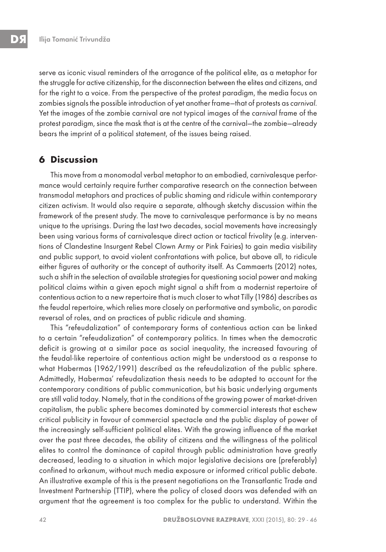serve as iconic visual reminders of the arrogance of the political elite, as a metaphor for the struggle for active citizenship, for the disconnection between the elites and citizens, and for the right to a voice. From the perspective of the protest paradigm, the media focus on zombies signals the possible introduction of yet another frame—that of protests as carnival. Yet the images of the zombie carnival are not typical images of the carnival frame of the protest paradigm, since the mask that is at the centre of the carnival—the zombie—already bears the imprint of a political statement, of the issues being raised.

# **6 Discussion**

This move from a monomodal verbal metaphor to an embodied, carnivalesque performance would certainly require further comparative research on the connection between transmodal metaphors and practices of public shaming and ridicule within contemporary citizen activism. It would also require a separate, although sketchy discussion within the framework of the present study. The move to carnivalesque performance is by no means unique to the uprisings. During the last two decades, social movements have increasingly been using various forms of carnivalesque direct action or tactical frivolity (e.g. interventions of Clandestine Insurgent Rebel Clown Army or Pink Fairies) to gain media visibility and public support, to avoid violent confrontations with police, but above all, to ridicule either figures of authority or the concept of authority itself. As Cammaerts (2012) notes, such a shift in the selection of available strategies for questioning social power and making political claims within a given epoch might signal a shift from a modernist repertoire of contentious action to a new repertoire that is much closer to what Tilly (1986) describes as the feudal repertoire, which relies more closely on performative and symbolic, on parodic reversal of roles, and on practices of public ridicule and shaming.

This "refeudalization" of contemporary forms of contentious action can be linked to a certain "refeudalization" of contemporary politics. In times when the democratic deficit is growing at a similar pace as social inequality, the increased favouring of the feudal-like repertoire of contentious action might be understood as a response to what Habermas (1962/1991) described as the refeudalization of the public sphere. Admittedly, Habermas' refeudalization thesis needs to be adapted to account for the contemporary conditions of public communication, but his basic underlying arguments are still valid today. Namely, that in the conditions of the growing power of market-driven capitalism, the public sphere becomes dominated by commercial interests that eschew critical publicity in favour of commercial spectacle and the public display of power of the increasingly self-sufficient political elites. With the growing influence of the market over the past three decades, the ability of citizens and the willingness of the political elites to control the dominance of capital through public administration have greatly decreased, leading to a situation in which major legislative decisions are (preferably) confined to arkanum, without much media exposure or informed critical public debate. An illustrative example of this is the present negotiations on the Transatlantic Trade and Investment Partnership (TTIP), where the policy of closed doors was defended with an argument that the agreement is too complex for the public to understand. Within the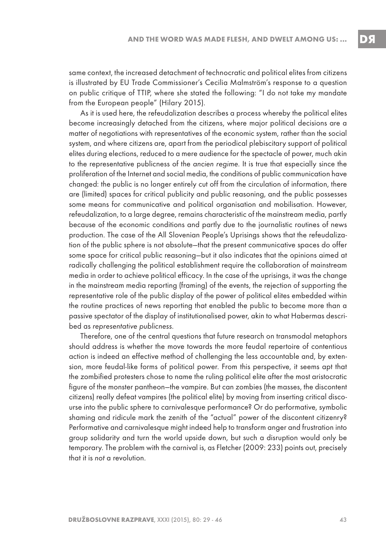same context, the increased detachment of technocratic and political elites from citizens is illustrated by EU Trade Commissioner's Cecilia Malmström's response to a question on public critique of TTIP, where she stated the following: "I do not take my mandate from the European people" (Hilary 2015).

As it is used here, the refeudalization describes a process whereby the political elites become increasingly detached from the citizens, where major political decisions are a matter of negotiations with representatives of the economic system, rather than the social system, and where citizens are, apart from the periodical plebiscitary support of political elites during elections, reduced to a mere audience for the spectacle of power, much akin to the representative publicness of the ancien regime. It is true that especially since the proliferation of the Internet and social media, the conditions of public communication have changed: the public is no longer entirely cut off from the circulation of information, there are (limited) spaces for critical publicity and public reasoning, and the public possesses some means for communicative and political organisation and mobilisation. However, refeudalization, to a large degree, remains characteristic of the mainstream media, partly because of the economic conditions and partly due to the journalistic routines of news production. The case of the All Slovenian People's Uprisings shows that the refeudalization of the public sphere is not absolute—that the present communicative spaces do offer some space for critical public reasoning—but it also indicates that the opinions aimed at radically challenging the political establishment require the collaboration of mainstream media in order to achieve political efficacy. In the case of the uprisings, it was the change in the mainstream media reporting (framing) of the events, the rejection of supporting the representative role of the public display of the power of political elites embedded within the routine practices of news reporting that enabled the public to become more than a passive spectator of the display of institutionalised power, akin to what Habermas described as representative publicness.

Therefore, one of the central questions that future research on transmodal metaphors should address is whether the move towards the more feudal repertoire of contentious action is indeed an effective method of challenging the less accountable and, by extension, more feudal-like forms of political power. From this perspective, it seems apt that the zombified protesters chose to name the ruling political elite after the most aristocratic figure of the monster pantheon—the vampire. But can zombies (the masses, the discontent citizens) really defeat vampires (the political elite) by moving from inserting critical discourse into the public sphere to carnivalesque performance? Or do performative, symbolic shaming and ridicule mark the zenith of the "actual" power of the discontent citizenry? Performative and carnivalesque might indeed help to transform anger and frustration into group solidarity and turn the world upside down, but such a disruption would only be temporary. The problem with the carnival is, as Fletcher (2009: 233) points out, precisely that it is not a revolution.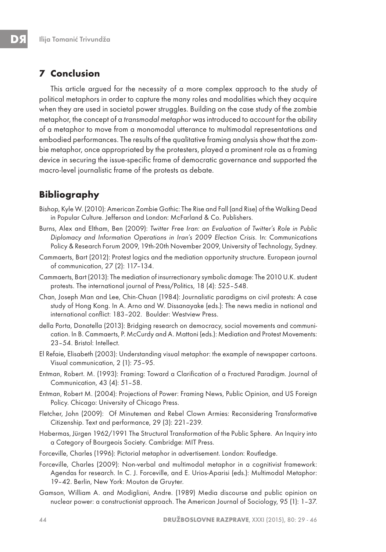# **7 Conclusion**

This article argued for the necessity of a more complex approach to the study of political metaphors in order to capture the many roles and modalities which they acquire when they are used in societal power struggles. Building on the case study of the zombie metaphor, the concept of a transmodal metaphor was introduced to account for the ability of a metaphor to move from a monomodal utterance to multimodal representations and embodied performances. The results of the qualitative framing analysis show that the zombie metaphor, once appropriated by the protesters, played a prominent role as a framing device in securing the issue-specific frame of democratic governance and supported the macro-level journalistic frame of the protests as debate.

# **Bibliography**

- Bishop, Kyle W. (2010): American Zombie Gothic: The Rise and Fall (and Rise) of the Walking Dead in Popular Culture. Jefferson and London: McFarland & Co. Publishers.
- Burns, Alex and Eltham, Ben (2009): Twitter Free Iran: an Evaluation of Twitter's Role in Public Diplomacy and Information Operations in Iran's 2009 Election Crisis. In: Communications Policy & Research Forum 2009, 19th-20th November 2009, University of Technology, Sydney.
- Cammaerts, Bart (2012): Protest logics and the mediation opportunity structure. European journal of communication, 27 (2): 117–134.
- Cammaerts, Bart (2013): The mediation of insurrectionary symbolic damage: The 2010 U.K. student protests. The international journal of Press/Politics, 18 (4): 525–548.
- Chan, Joseph Man and Lee, Chin-Chuan (1984): Journalistic paradigms on civil protests: A case study of Hong Kong. In A. Arno and W. Dissanayake (eds.): The news media in national and international conflict: 183–202. Boulder: Westview Press.
- della Porta, Donatella (2013): Bridging research on democracy, social movements and communication. In B. Cammaerts, P. McCurdy and A. Mattoni (eds.): Mediation and Protest Movements: 23–54. Bristol: Intellect.
- El Refaie, Elisabeth (2003): Understanding visual metaphor: the example of newspaper cartoons. Visual communication, 2 (1): 75–95.
- Entman, Robert. M. (1993): Framing: Toward a Clarification of a Fractured Paradigm. Journal of Communication, 43 (4): 51–58.
- Entman, Robert M. (2004): Projections of Power: Framing News, Public Opinion, and US Foreign Policy. Chicago: University of Chicago Press.
- Fletcher, John (2009): Of Minutemen and Rebel Clown Armies: Reconsidering Transformative Citizenship. Text and performance, 29 (3): 221–239.
- Habermas, Jürgen 1962/1991 The Structural Transformation of the Public Sphere. An Inquiry into a Category of Bourgeois Society. Cambridge: MIT Press.
- Forceville, Charles (1996): Pictorial metaphor in advertisement. London: Routledge.
- Forceville, Charles (2009): Non-verbal and multimodal metaphor in a cognitivist framework: Agendas for research. In C. J. Forceville, and E. Urios-Aparisi (eds.): Multimodal Metaphor: 19–42. Berlin, New York: Mouton de Gruyter.
- Gamson, William A. and Modigliani, Andre. (1989) Media discourse and public opinion on nuclear power: a constructionist approach. The American Journal of Sociology, 95 (1): 1–37.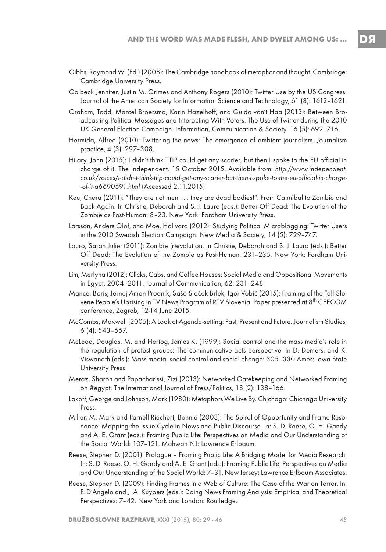- Gibbs, Raymond W. (Ed.) (2008): The Cambridge handbook of metaphor and thought. Cambridge: Cambridge University Press.
- Golbeck Jennifer, Justin M. Grimes and Anthony Rogers (2010): Twitter Use by the US Congress. Journal of the American Society for Information Science and Technology, 61 (8): 1612–1621.
- Graham, Todd, Marcel Broersma, Karin Hazelhoff, and Guido van't Haa (2013): Between Broadcasting Political Messages and Interacting With Voters. The Use of Twitter during the 2010 UK General Election Campaign. Information, Communication & Society, 16 (5): 692–716.
- Hermida, Alfred (2010): Twittering the news: The emergence of ambient journalism. Journalism practice, 4 (3): 297–308.
- Hilary, John (2015): I didn't think TTIP could get any scarier, but then I spoke to the EU official in charge of it. The Independent, 15 October 2015. Available from: http://www.independent. co.uk/voices/i-didn-t-think-ttip-could-get-any-scarier-but-then-i-spoke-to-the-eu-official-in-charge- -of-it-a6690591.html (Accessed 2.11.2015)
- Kee, Chera (2011): "They are not men . . . they are dead bodies!": From Cannibal to Zombie and Back Again. In Christie, Deborah and S. J. Lauro (eds.): Better Off Dead: The Evolution of the Zombie as Post-Human: 8–23. New York: Fordham University Press.
- Larsson, Anders Olof, and Moe, Hallvard (2012): Studying Political Microblogging: Twitter Users in the 2010 Swedish Election Campaign. New Media & Society, 14 (5): 729–747.
- Lauro, Sarah Juliet (2011): Zombie (r)evolution. In Christie, Deborah and S. J. Lauro (eds.): Better Off Dead: The Evolution of the Zombie as Post-Human: 231–235. New York: Fordham University Press.
- Lim, Merlyna (2012): Clicks, Cabs, and Coffee Houses: Social Media and Oppositional Movements in Egypt, 2004–2011. Journal of Communication, 62: 231–248.
- Mance, Boris, Jernej Amon Prodnik, Sašo Slaček Brlek, Igor Vobič (2015): Framing of the "all-Slovene People's Uprising in TV News Program of RTV Slovenia. Paper presented at 8th CEECOM conference, Zagreb, 12-14 June 2015.
- McCombs, Maxwell (2005): A Look at Agenda-setting: Past, Present and Future. Journalism Studies, 6 (4): 543–557.
- McLeod, Douglas. M. and Hertog, James K. (1999): Social control and the mass media's role in the regulation of protest groups: The communicative acts perspective. In D. Demers, and K. Viswanath (eds.): Mass media, social control and social change: 305–330 Ames: Iowa State University Press.
- Meraz, Sharon and Papacharissi, Zizi (2013): Networked Gatekeeping and Networked Framing on #egypt. The International Journal of Press/Politics, 18 (2): 138–166.
- Lakoff, George and Johnson, Mark (1980): Metaphors We Live By. Chichago: Chichago University Press.
- Miller, M. Mark and Parnell Riechert, Bonnie (2003): The Spiral of Opportunity and Frame Resonance: Mapping the Issue Cycle in News and Public Discourse. In: S. D. Reese, O. H. Gandy and A. E. Grant (eds.): Framing Public Life: Perspectives on Media and Our Understanding of the Social World: 107–121. Mahwah NJ: Lawrence Erlbaum.
- Reese, Stephen D. (2001): Prologue Framing Public Life: A Bridging Model for Media Research. In: S. D. Reese, O. H. Gandy and A. E. Grant (eds.): Framing Public Life: Perspectives on Media and Our Understanding of the Social World: 7–31. New Jersey: Lawrence Erlbaum Associates.
- Reese, Stephen D. (2009): Finding Frames in a Web of Culture: The Case of the War on Terror. In: P. D'Angelo and J. A. Kuypers (eds.): Doing News Framing Analysis: Empirical and Theoretical Perspectives: 7–42. New York and London: Routledge.